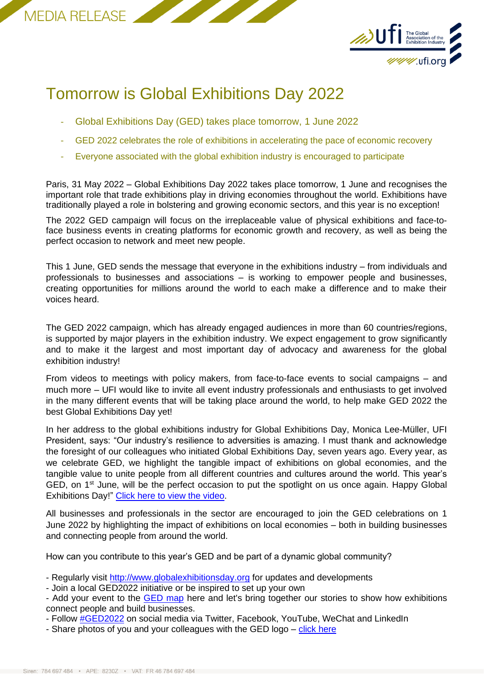



## Tomorrow is Global Exhibitions Day 2022

- Global Exhibitions Day (GED) takes place tomorrow, 1 June 2022
- GED 2022 celebrates the role of exhibitions in accelerating the pace of economic recovery
- Everyone associated with the global exhibition industry is encouraged to participate

Paris, 31 May 2022 – Global Exhibitions Day 2022 takes place tomorrow, 1 June and recognises the important role that trade exhibitions play in driving economies throughout the world. Exhibitions have traditionally played a role in bolstering and growing economic sectors, and this year is no exception!

The 2022 GED campaign will focus on the irreplaceable value of physical exhibitions and face-toface business events in creating platforms for economic growth and recovery, as well as being the perfect occasion to network and meet new people.

This 1 June, GED sends the message that everyone in the exhibitions industry – from individuals and professionals to businesses and associations – is working to empower people and businesses, creating opportunities for millions around the world to each make a difference and to make their voices heard.

The GED 2022 campaign, which has already engaged audiences in more than 60 countries/regions, is supported by major players in the exhibition industry. We expect engagement to grow significantly and to make it the largest and most important day of advocacy and awareness for the global exhibition industry!

From videos to meetings with policy makers, from face-to-face events to social campaigns – and much more – UFI would like to invite all event industry professionals and enthusiasts to get involved in the many different events that will be taking place around the world, to help make GED 2022 the best Global Exhibitions Day yet!

In her address to the global exhibitions industry for Global Exhibitions Day, Monica Lee-Müller, UFI President, says: "Our industry's resilience to adversities is amazing. I must thank and acknowledge the foresight of our colleagues who initiated Global Exhibitions Day, seven years ago. Every year, as we celebrate GED, we highlight the tangible impact of exhibitions on global economies, and the tangible value to unite people from all different countries and cultures around the world. This year's GED, on 1<sup>st</sup> June, will be the perfect occasion to put the spotlight on us once again. Happy Global Exhibitions Day!" [Click here to view the video.](https://www.youtube.com/watch?v=Qkr08LMc8zc)

All businesses and professionals in the sector are encouraged to join the GED celebrations on 1 June 2022 by highlighting the impact of exhibitions on local economies – both in building businesses and connecting people from around the world.

How can you contribute to this year's GED and be part of a dynamic global community?

- Regularly visit [http://www.globalexhibitionsday.org](http://www.globalexhibitionsday.org/) for updates and developments
- Join a local GED2022 initiative or be inspired to set up your own
- Add your event to the **GED map** here and let's bring together our stories to show how exhibitions connect people and build businesses.
- Follow [#GED2022](https://twitter.com/UFI_GED_2022) on social media via Twitter, Facebook, YouTube, WeChat and LinkedIn
- Share photos of you and your colleagues with the GED logo [click here](https://ged.eventmaker.io/toolkit)